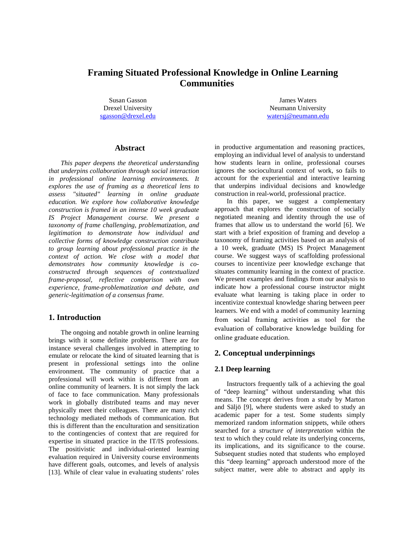# **Framing Situated Professional Knowledge in Online Learning Communities**

Susan Gasson Drexel University [sgasson@drexel.edu](mailto:sgasson@drexel.edu)

James Waters Neumann University [watersj@neumann.edu](mailto:watersj@neumann.edu)

#### **Abstract**

*This paper deepens the theoretical understanding that underpins collaboration through social interaction in professional online learning environments. It explores the use of framing as a theoretical lens to assess "situated" learning in online graduate education. We explore how collaborative knowledge construction is framed in an intense 10 week graduate IS Project Management course. We present a taxonomy of frame challenging, problematization, and legitimation to demonstrate how individual and collective forms of knowledge construction contribute to group learning about professional practice in the context of action. We close with a model that demonstrates how community knowledge is coconstructed through sequences of contextualized frame-proposal, reflective comparison with own experience, frame-problematization and debate, and generic-legitimation of a consensus frame.*

## **1. Introduction**

The ongoing and notable growth in online learning brings with it some definite problems. There are for instance several challenges involved in attempting to emulate or relocate the kind of situated learning that is present in professional settings into the online environment. The community of practice that a professional will work within is different from an online community of learners. It is not simply the lack of face to face communication. Many professionals work in globally distributed teams and may never physically meet their colleagues. There are many rich technology mediated methods of communication. But this is different than the enculturation and sensitization to the contingencies of context that are required for expertise in situated practice in the IT/IS professions. The positivistic and individual-oriented learning evaluation required in University course environments have different goals, outcomes, and levels of analysis [13]. While of clear value in evaluating students' roles

in productive argumentation and reasoning practices, employing an individual level of analysis to understand how students learn in online, professional courses ignores the sociocultural context of work, so fails to account for the experiential and interactive learning that underpins individual decisions and knowledge construction in real-world, professional practice.

In this paper, we suggest a complementary approach that explores the construction of socially negotiated meaning and identity through the use of frames that allow us to understand the world [6]. We start with a brief exposition of framing and develop a taxonomy of framing activities based on an analysis of a 10 week, graduate (MS) IS Project Management course. We suggest ways of scaffolding professional courses to incentivize peer knowledge exchange that situates community learning in the context of practice. We present examples and findings from our analysis to indicate how a professional course instructor might evaluate what learning is taking place in order to incentivize contextual knowledge sharing between peer learners. We end with a model of community learning from social framing activities as tool for the evaluation of collaborative knowledge building for online graduate education.

## **2. Conceptual underpinnings**

#### **2.1 Deep learning**

Instructors frequently talk of a achieving the goal of "deep learning" without understanding what this means. The concept derives from a study by Marton and Säljö [9], where students were asked to study an academic paper for a test. Some students simply memorized random information snippets, while others searched for a *structure of interpretation* within the text to which they could relate its underlying concerns, its implications, and its significance to the course. Subsequent studies noted that students who employed this "deep learning" approach understood more of the subject matter, were able to abstract and apply its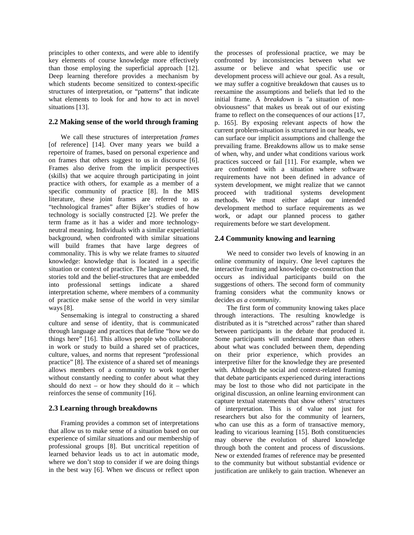principles to other contexts, and were able to identify key elements of course knowledge more effectively than those employing the superficial approach [12]. Deep learning therefore provides a mechanism by which students become sensitized to context-specific structures of interpretation, or "patterns" that indicate what elements to look for and how to act in novel situations [13].

#### **2.2 Making sense of the world through framing**

We call these structures of interpretation *frames* [of reference] [14]. Over many years we build a repertoire of frames, based on personal experience and on frames that others suggest to us in discourse [6]. Frames also derive from the implicit perspectives (skills) that we acquire through participating in joint practice with others, for example as a member of a specific community of practice [8]. In the MIS literature, these joint frames are referred to as "technological frames" after Bijker's studies of how technology is socially constructed [2]. We prefer the term frame as it has a wider and more technologyneutral meaning. Individuals with a similar experiential background, when confronted with similar situations will build frames that have large degrees of commonality. This is why we relate frames to *situated* knowledge: knowledge that is located in a specific situation or context of practice. The language used, the stories told and the belief-structures that are embedded into professional settings indicate a shared interpretation scheme, where members of a community of practice make sense of the world in very similar ways [8].

Sensemaking is integral to constructing a shared culture and sense of identity, that is communicated through language and practices that define "how we do things here" [16]. This allows people who collaborate in work or study to build a shared set of practices, culture, values, and norms that represent "professional practice" [8]. The existence of a shared set of meanings allows members of a community to work together without constantly needing to confer about what they should do next – or how they should do it – which reinforces the sense of community [16].

## **2.3 Learning through breakdowns**

Framing provides a common set of interpretations that allow us to make sense of a situation based on our experience of similar situations and our membership of professional groups [8]. But uncritical repetition of learned behavior leads us to act in automatic mode, where we don't stop to consider if we are doing things in the best way [6]. When we discuss or reflect upon

the processes of professional practice, we may be confronted by inconsistencies between what we assume or believe and what specific use or development process will achieve our goal. As a result, we may suffer a cognitive breakdown that causes us to reexamine the assumptions and beliefs that led to the initial frame. A *breakdown* is "a situation of nonobviousness" that makes us break out of our existing frame to reflect on the consequences of our actions [17, p. 165]. By exposing relevant aspects of how the current problem-situation is structured in our heads, we can surface our implicit assumptions and challenge the prevailing frame. Breakdowns allow us to make sense of when, why, and under what conditions various work practices succeed or fail [11]. For example, when we are confronted with a situation where software requirements have not been defined in advance of system development, we might realize that we cannot proceed with traditional systems development methods. We must either adapt our intended development method to surface requirements as we work, or adapt our planned process to gather requirements before we start development.

#### **2.4 Community knowing and learning**

We need to consider two levels of knowing in an online community of inquiry. One level captures the interactive framing and knowledge co-construction that occurs as individual participants build on the suggestions of others. The second form of community framing considers what the community knows or decides *as a community*.

The first form of community knowing takes place through interactions. The resulting knowledge is distributed as it is "stretched across" rather than shared between participants in the debate that produced it. Some participants will understand more than others about what was concluded between them, depending on their prior experience, which provides an interpretive filter for the knowledge they are presented with. Although the social and context-related framing that debate participants experienced during interactions may be lost to those who did not participate in the original discussion, an online learning environment can capture textual statements that show others' structures of interpretation. This is of value not just for researchers but also for the community of learners, who can use this as a form of transactive memory, leading to vicarious learning [15]. Both constituencies may observe the evolution of shared knowledge through both the content and process of discussions. New or extended frames of reference may be presented to the community but without substantial evidence or justification are unlikely to gain traction. Whenever an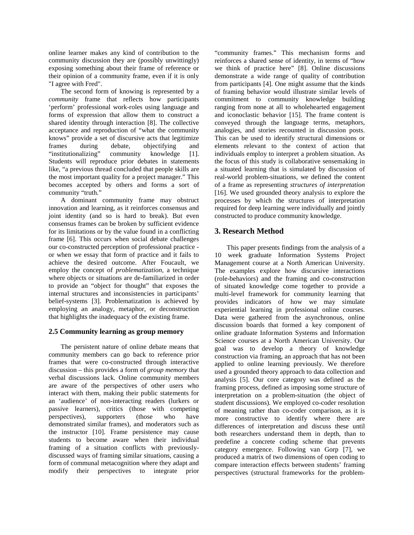online learner makes any kind of contribution to the community discussion they are (possibly unwittingly) exposing something about their frame of reference or their opinion of a community frame, even if it is only "I agree with Fred".

The second form of knowing is represented by a *community* frame that reflects how participants 'perform' professional work-roles using language and forms of expression that allow them to construct a shared identity through interaction [8]. The collective acceptance and reproduction of "what the community knows" provide a set of discursive acts that legitimize frames during debate, objectifying and "institutionalizing" community knowledge [1]. Students will reproduce prior debates in statements like, "a previous thread concluded that people skills are the most important quality for a project manager." This becomes accepted by others and forms a sort of community "truth."

A dominant community frame may obstruct innovation and learning, as it reinforces consensus and joint identity (and so is hard to break). But even consensus frames can be broken by sufficient evidence for its limitations or by the value found in a conflicting frame [6]. This occurs when social debate challenges our co-constructed perception of professional practice or when we essay that form of practice and it fails to achieve the desired outcome. After Foucault, we employ the concept of *problematization,* a technique where objects or situations are de-familiarized in order to provide an "object for thought" that exposes the internal structures and inconsistencies in participants' belief-systems [3]. Problematization is achieved by employing an analogy, metaphor, or deconstruction that highlights the inadequacy of the existing frame.

## **2.5 Community learning as group memory**

The persistent nature of online debate means that community members can go back to reference prior frames that were co-constructed through interactive discussion – this provides a form of *group memory* that verbal discussions lack. Online community members are aware of the perspectives of other users who interact with them, making their public statements for an 'audience' of non-interacting readers (lurkers or passive learners), critics (those with competing perspectives), supporters (those who have demonstrated similar frames), and moderators such as the instructor [10]. Frame persistence may cause students to become aware when their individual framing of a situation conflicts with previouslydiscussed ways of framing similar situations, causing a form of communal metacognition where they adapt and modify their perspectives to integrate prior

"community frames." This mechanism forms and reinforces a shared sense of identity, in terms of "how we think of practice here" [8]. Online discussions demonstrate a wide range of quality of contribution from participants [4]. One might assume that the kinds of framing behavior would illustrate similar levels of commitment to community knowledge building ranging from none at all to wholehearted engagement and iconoclastic behavior [15]. The frame content is conveyed through the language terms, metaphors, analogies, and stories recounted in discussion posts. This can be used to identify structural dimensions or elements relevant to the context of action that individuals employ to interpret a problem situation. As the focus of this study is collaborative sensemaking in a situated learning that is simulated by discussion of real-world problem-situations, we defined the content of a frame as representing *structures of interpretation* [16]. We used grounded theory analysis to explore the processes by which the structures of interpretation required for deep learning were individually and jointly constructed to produce community knowledge.

# **3. Research Method**

This paper presents findings from the analysis of a 10 week graduate Information Systems Project Management course at a North American University. The examples explore how discursive interactions (role-behaviors) and the framing and co-construction of situated knowledge come together to provide a multi-level framework for community learning that provides indicators of how we may simulate experiential learning in professional online courses. Data were gathered from the asynchronous, online discussion boards that formed a key component of online graduate Information Systems and Information Science courses at a North American University. Our goal was to develop a theory of knowledge construction via framing, an approach that has not been applied to online learning previously. We therefore used a grounded theory approach to data collection and analysis [5]. Our core category was defined as the framing process, defined as imposing some structure of interpretation on a problem-situation (the object of student discussions). We employed co-coder resolution of meaning rather than co-coder comparison, as it is more constructive to identify where there are differences of interpretation and discuss these until both researchers understand them in depth, than to predefine a concrete coding scheme that prevents category emergence. Following van Gorp [7], we produced a matrix of two dimensions of open coding to compare interaction effects between students' framing perspectives (structural frameworks for the problem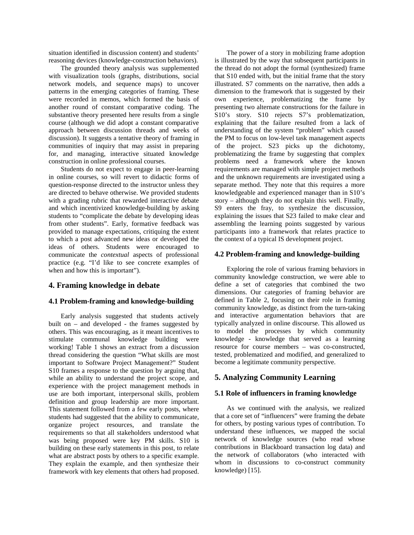situation identified in discussion content) and students' reasoning devices (knowledge-construction behaviors).

The grounded theory analysis was supplemented with visualization tools (graphs, distributions, social network models, and sequence maps) to uncover patterns in the emerging categories of framing. These were recorded in memos, which formed the basis of another round of constant comparative coding. The substantive theory presented here results from a single course (although we did adopt a constant comparative approach between discussion threads and weeks of discussion). It suggests a tentative theory of framing in communities of inquiry that may assist in preparing for, and managing, interactive situated knowledge construction in online professional courses.

Students do not expect to engage in peer-learning in online courses, so will revert to didactic forms of question-response directed to the instructor unless they are directed to behave otherwise. We provided students with a grading rubric that rewarded interactive debate and which incentivized knowledge-building by asking students to "complicate the debate by developing ideas from other students". Early, formative feedback was provided to manage expectations, critiquing the extent to which a post advanced new ideas or developed the ideas of others. Students were encouraged to communicate the *contextual* aspects of professional practice (e.g. "I'd like to see concrete examples of when and how this is important").

## **4. Framing knowledge in debate**

## **4.1 Problem-framing and knowledge-building**

Early analysis suggested that students actively built on – and developed - the frames suggested by others. This was encouraging, as it meant incentives to stimulate communal knowledge building were working! Table 1 shows an extract from a discussion thread considering the question "What skills are most important to Software Project Management?" Student S10 frames a response to the question by arguing that, while an ability to understand the project scope, and experience with the project management methods in use are both important, interpersonal skills, problem definition and group leadership are more important. This statement followed from a few early posts, where students had suggested that the ability to communicate, organize project resources, and translate the requirements so that all stakeholders understood what was being proposed were key PM skills. S10 is building on these early statements in this post, to relate what are abstract posts by others to a specific example. They explain the example, and then synthesize their framework with key elements that others had proposed.

The power of a story in mobilizing frame adoption is illustrated by the way that subsequent participants in the thread do not adopt the formal (synthesized) frame that S10 ended with, but the initial frame that the story illustrated. S7 comments on the narrative, then adds a dimension to the framework that is suggested by their own experience, problematizing the frame by presenting two alternate constructions for the failure in S10's story. S10 rejects S7's problematization, explaining that the failure resulted from a lack of understanding of the system "problem" which caused the PM to focus on low-level task management aspects of the project. S23 picks up the dichotomy, problematizing the frame by suggesting that complex problems need a framework where the known requirements are managed with simple project methods and the unknown requirements are investigated using a separate method. They note that this requires a more knowledgeable and experienced manager than in S10's story – although they do not explain this well. Finally, S9 enters the fray, to synthesize the discussion, explaining the issues that S23 failed to make clear and assembling the learning points suggested by various participants into a framework that relates practice to the context of a typical IS development project.

#### **4.2 Problem-framing and knowledge-building**

Exploring the role of various framing behaviors in community knowledge construction, we were able to define a set of categories that combined the two dimensions. Our categories of framing behavior are defined in Table 2, focusing on their role in framing community knowledge, as distinct from the turn-taking and interactive argumentation behaviors that are typically analyzed in online discourse. This allowed us to model the processes by which community knowledge - knowledge that served as a learning resource for course members – was co-constructed, tested, problematized and modified, and generalized to become a legitimate community perspective.

# **5. Analyzing Community Learning**

## **5.1 Role of influencers in framing knowledge**

As we continued with the analysis, we realized that a core set of "influencers" were framing the debate for others, by posting various types of contribution. To understand these influences, we mapped the social network of knowledge sources (who read whose contributions in Blackboard transaction log data) and the network of collaborators (who interacted with whom in discussions to co-construct community knowledge) [15].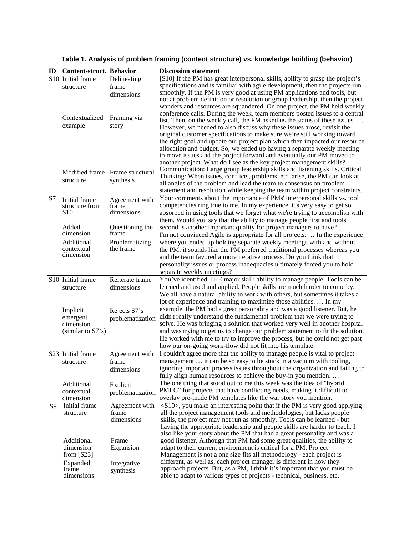| ID | <b>Content-struct. Behavior</b> |                                 | <b>Discussion statement</b>                                                                                                                          |
|----|---------------------------------|---------------------------------|------------------------------------------------------------------------------------------------------------------------------------------------------|
|    | S <sub>10</sub> Initial frame   | Delineating                     | [S10] If the PM has great interpersonal skills, ability to grasp the project's                                                                       |
|    | structure                       | frame                           | specifications and is familiar with agile development, then the projects run                                                                         |
|    |                                 | dimensions                      | smoothly. If the PM is very good at using PM applications and tools, but                                                                             |
|    |                                 |                                 | not at problem definition or resolution or group leadership, then the project                                                                        |
|    |                                 |                                 | wanders and resources are squandered. On one project, the PM held weekly                                                                             |
|    | Contextualized                  | Framing via                     | conference calls. During the week, team members posted issues to a central                                                                           |
|    | example                         | story                           | list. Then, on the weekly call, the PM asked us the status of these issues.                                                                          |
|    |                                 |                                 | However, we needed to also discuss why these issues arose, revisit the<br>original customer specifications to make sure we're still working toward   |
|    |                                 |                                 | the right goal and update our project plan which then impacted our resource                                                                          |
|    |                                 |                                 | allocation and budget. So, we ended up having a separate weekly meeting                                                                              |
|    |                                 |                                 | to move issues and the project forward and eventually our PM moved to                                                                                |
|    |                                 |                                 | another project. What do I see as the key project management skills?                                                                                 |
|    |                                 | Modified frame Frame structural | Communication: Large group leadership skills and listening skills. Critical                                                                          |
|    | structure                       | synthesis                       | Thinking: When issues, conflicts, problems, etc. arise, the PM can look at                                                                           |
|    |                                 |                                 | all angles of the problem and lead the team to consensus on problem                                                                                  |
|    |                                 |                                 | statement and resolution while keeping the team within project constraints.                                                                          |
| S7 | Initial frame                   | Agreement with                  | Your comments about the importance of PMs' interpersonal skills vs. tool                                                                             |
|    | structure from                  | frame                           | competencies ring true to me. In my experience, it's very easy to get so                                                                             |
|    | S <sub>10</sub>                 | dimensions                      | absorbed in using tools that we forget what we're trying to accomplish with                                                                          |
|    |                                 |                                 | them. Would you say that the ability to manage people first and tools                                                                                |
|    | Added<br>dimension              | Questioning the<br>frame        | second is another important quality for project managers to have?                                                                                    |
|    |                                 |                                 | I'm not convinced Agile is appropriate for all projects.  In the experience                                                                          |
|    | Additional<br>contextual        | Problematizing<br>the frame     | where you ended up holding separate weekly meetings with and without                                                                                 |
|    | dimension                       |                                 | the PM, it sounds like the PM preferred traditional processes whereas you<br>and the team favored a more iterative process. Do you think that        |
|    |                                 |                                 | personality issues or process inadequacies ultimately forced you to hold                                                                             |
|    |                                 |                                 | separate weekly meetings?                                                                                                                            |
|    | S10 Initial frame               | Reiterate frame                 | You've identified THE major skill: ability to manage people. Tools can be                                                                            |
|    | structure                       | dimensions                      | learned and used and applied. People skills are much harder to come by.                                                                              |
|    |                                 |                                 | We all have a natural ability to work with others, but sometimes it takes a                                                                          |
|    |                                 |                                 | lot of experience and training to maximize those abilities.  In my                                                                                   |
|    | Implicit                        | Rejects S7's                    | example, the PM had a great personality and was a good listener. But, he                                                                             |
|    | emergent                        | problematization                | didn't really understand the fundamental problem that we were trying to                                                                              |
|    | dimension                       |                                 | solve. He was bringing a solution that worked very well in another hospital                                                                          |
|    | (similar to S7's)               |                                 | and was trying to get us to change our problem statement to fit the solution.                                                                        |
|    |                                 |                                 | He worked with me to try to improve the process, but he could not get past                                                                           |
|    |                                 |                                 | how our on-going work-flow did not fit into his template.                                                                                            |
|    | S23 Initial frame               | Agreement with                  | I couldn't agree more that the ability to manage people is vital to project                                                                          |
|    | structure                       | frame                           | management  it can be so easy to be stuck in a vacuum with tooling,                                                                                  |
|    |                                 | dimensions                      | ignoring important process issues throughout the organization and failing to                                                                         |
|    |                                 |                                 | fully align human resources to achieve the buy-in you mention                                                                                        |
|    | Additional                      | Explicit                        | The one thing that stood out to me this week was the idea of "hybrid                                                                                 |
|    | contextual                      | problematization                | PMLC" for projects that have conflicting needs, making it difficult to                                                                               |
|    | dimension                       |                                 | overlay pre-made PM templates like the war story you mention.                                                                                        |
| S9 | Initial frame                   | Agreement with                  | $\langle$ S10>, you make an interesting point that if the PM is very good applying                                                                   |
|    | structure                       | frame                           | all the project management tools and methodologies, but lacks people                                                                                 |
|    |                                 | dimensions                      | skills, the project may not run as smoothly. Tools can be learned - but                                                                              |
|    |                                 |                                 | having the appropriate leadership and people skills are harder to teach. I                                                                           |
|    | Additional                      | Frame                           | also like your story about the PM that had a great personality and was a<br>good listener. Although that PM had some great qualities, the ability to |
|    | dimension                       | Expansion                       | adapt to their current environment is critical for a PM. Project                                                                                     |
|    | from $[S23]$                    |                                 | Management is not a one size fits all methodology - each project is                                                                                  |
|    | Expanded                        | Integrative                     | different, as well as, each project manager is different in how they                                                                                 |
|    | frame                           | synthesis                       | approach projects. But, as a PM, I think it's important that you must be                                                                             |
|    | dimensions                      |                                 | able to adapt to various types of projects - technical, business, etc.                                                                               |

**Table 1. Analysis of problem framing (content structure) vs. knowledge building (behavior)**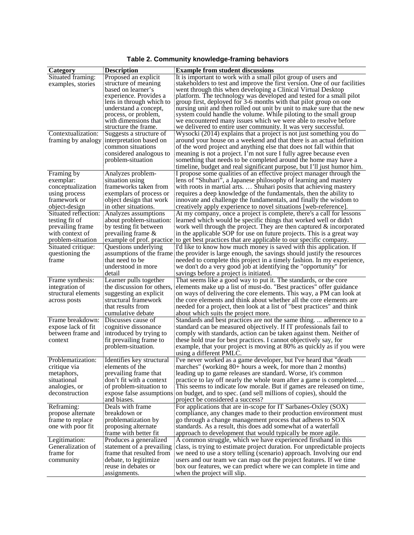| Category                              | Description                                | <b>Example from student discussions</b>                                                                                     |
|---------------------------------------|--------------------------------------------|-----------------------------------------------------------------------------------------------------------------------------|
| Situated framing:                     | Proposed an explicit                       | It is important to work with a small pilot group of users and                                                               |
| examples, stories                     | structure of meaning                       | stakeholders to test and improve the first version. One of our facilities                                                   |
|                                       | based on learner's                         | went through this when developing a Clinical Virtual Desktop                                                                |
|                                       | experience. Provides a                     | platform. The technology was developed and tested for a small pilot                                                         |
|                                       | lens in through which to                   | group first, deployed for 3-6 months with that pilot group on one                                                           |
|                                       | understand a concept,                      | nursing unit and then rolled out unit by unit to make sure that the new                                                     |
|                                       | process, or problem,                       | system could handle the volume. While piloting to the small group                                                           |
|                                       | with dimensions that                       | we encountered many issues which we were able to resolve before                                                             |
|                                       | structure the frame.                       | we delivered to entire user community. It was very successful.                                                              |
| Contextualization:                    | Suggests a structure of                    | Wysocki (2014) explains that a project is not just something you do                                                         |
|                                       | framing by analogy interpretation based on | around your house on a weekend and that there is an actual definition                                                       |
|                                       | common situations                          | of the word project and anything else that does not fall within that                                                        |
|                                       | considered analogous to                    | meaning is not a project. I'm not sure I fully agree because even                                                           |
|                                       | problem-situation                          | something that needs to be completed around the home may have a                                                             |
|                                       |                                            | timeline, budget and real significant purpose, but I'll just humor him.                                                     |
| Framing by                            | Analyzes problem-                          | I propose some qualities of an effective project manager through the                                                        |
| exemplar:                             | situation using                            | lens of "Shuhari", a Japanese philosophy of learning and mastery                                                            |
| conceptualization                     | frameworks taken from                      | with roots in martial arts.  Shuhari posits that achieving mastery                                                          |
| using process                         | exemplars of process or                    | requires a deep knowledge of the fundamentals, then the ability to                                                          |
| framework or                          | object design that work                    | innovate and challenge the fundamentals, and finally the wisdom to                                                          |
| object-design                         | in other situations.                       | creatively apply experience to novel situations [web-reference].                                                            |
| Situated reflection:                  | Analyzes assumptions                       | At my company, once a project is complete, there's a call for lessons                                                       |
| testing fit of                        | about problem-situation:                   | learned which would be specific things that worked well or didn't                                                           |
| prevailing frame                      | by testing fit between                     | work well through the project. They are then captured $\&$ incorporated                                                     |
| with context of                       | prevailing frame $\&$                      | in the applicable SOP for use on future projects. This is a great way                                                       |
| problem-situation                     |                                            | example of prof. practice to get best practices that are applicable to our specific company.                                |
| Situated critique:                    | Questions underlying                       | I'd like to know how much money is saved with this application. If                                                          |
| questioning the                       |                                            | assumptions of the frame the provider is large enough, the savings should justify the resources                             |
| frame                                 | that need to be                            | needed to complete this project in a timely fashion. In my experience,                                                      |
|                                       | understood in more                         | we don't do a very good job at identifying the "opportunity" for                                                            |
|                                       | detail                                     | savings before a project is initiated.                                                                                      |
| Frame synthesis:                      | Learner pulls together                     | That seems like a good way to put it. The standards, or the core                                                            |
| integration of                        | the discussion for others,                 | elements make up a list of must-do. "Best practices" offer guidance                                                         |
| structural elements                   | suggesting an explicit                     | on ways of delivering the core elements. This way, a PM can look at                                                         |
| across posts                          | structural framework                       | the core elements and think about whether all the core elements are                                                         |
|                                       | that results from                          | needed for a project, then look at a list of "best practices" and think                                                     |
|                                       | cumulative debate                          | about which suits the project more.                                                                                         |
| Frame breakdown: Discusses cause of   |                                            | Standards and best practices are not the same thing.  adherence to a                                                        |
| expose lack of fit                    | cognitive dissonance                       | standard can be measured objectively. If IT professionals fail to                                                           |
| between frame and                     | introduced by trying to                    | comply with standards, action can be taken against them. Neither of                                                         |
| context                               | fit prevailing frame to                    | these hold true for best practices. I cannot objectively say, for                                                           |
|                                       | problem-situation.                         | example, that your project is moving at 80% as quickly as if you were                                                       |
|                                       |                                            | using a different PMLC.                                                                                                     |
| Problematization:                     | Identifies key structural                  | I've never worked as a game developer, but I've heard that "death"                                                          |
| critique via                          | elements of the                            | marches" (working 80+ hours a week, for more than 2 months)                                                                 |
| metaphors,                            | prevailing frame that                      | leading up to game releases are standard. Worse, it's common                                                                |
| situational                           | don't fit with a context                   | practice to lay off nearly the whole team after a game is completed                                                         |
| analogies, or                         | of problem-situation to                    | This seems to indicate low morale. But if games are released on time,                                                       |
| deconstruction                        |                                            | expose false assumptions on budget, and to spec. (and sell millions of copies), should the                                  |
|                                       | and biases.<br>Deals with frame            | project be considered a success?                                                                                            |
| Reframing:                            |                                            | For applications that are in-scope for IT Sarbanes-Oxley (SOX)                                                              |
| propose alternate                     | breakdown or                               | compliance, any changes made to their production environment must                                                           |
| frame to replace<br>one with poor fit | problematization by                        | go through a change management process that adheres to SOX<br>standards. As a result, this does add somewhat of a waterfall |
|                                       | proposing alternate                        |                                                                                                                             |
|                                       | frame with better fit                      | approach to development that would typically be more agile.                                                                 |
| Legitimation:                         | Produces a generalized                     | A common struggle, which we have experienced firsthand in this                                                              |
| Generalization of                     | statement of a prevailing                  | class, is trying to estimate project duration. For unpredictable projects                                                   |
| frame for                             | frame that resulted from                   | we need to use a story telling (scenario) approach. Involving our end                                                       |
| community                             | debate, to legitimize                      | users and our team we can map out the project features. If we time                                                          |
|                                       | reuse in debates or                        | box our features, we can predict where we can complete in time and                                                          |
|                                       | assignments.                               | when the project will slip.                                                                                                 |

**Table 2. Community knowledge-framing behaviors**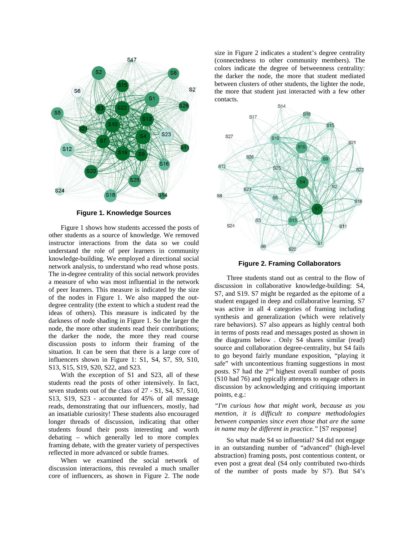

**Figure 1. Knowledge Sources**

Figure 1 shows how students accessed the posts of other students as a source of knowledge. We removed instructor interactions from the data so we could understand the role of peer learners in community knowledge-building. We employed a directional social network analysis, to understand who read whose posts. The in-degree centrality of this social network provides a measure of who was most influential in the network of peer learners. This measure is indicated by the size of the nodes in Figure 1. We also mapped the outdegree centrality (the extent to which a student read the ideas of others). This measure is indicated by the darkness of node shading in Figure 1. So the larger the node, the more other students read their contributions; the darker the node, the more they read course discussion posts to inform their framing of the situation. It can be seen that there is a large core of influencers shown in Figure 1: S1, S4, S7, S9, S10, S13, S15, S19, S20, S22, and S23.

With the exception of S1 and S23, all of these students read the posts of other intensively. In fact, seven students out of the class of 27 - S1, S4, S7, S10, S13, S19, S23 - accounted for 45% of all message reads, demonstrating that our influencers, mostly, had an insatiable curiosity! These students also encouraged longer threads of discussion, indicating that other students found their posts interesting and worth debating – which generally led to more complex framing debate, with the greater variety of perspectives reflected in more advanced or subtle frames.

When we examined the social network of discussion interactions, this revealed a much smaller core of influencers, as shown in Figure 2. The node

size in Figure 2 indicates a student's degree centrality (connectedness to other community members). The colors indicate the degree of betweenness centrality: the darker the node, the more that student mediated between clusters of other students, the lighter the node, the more that student just interacted with a few other contacts.



**Figure 2. Framing Collaborators**

Three students stand out as central to the flow of discussion in collaborative knowledge-building: S4, S7, and S19. S7 might be regarded as the epitome of a student engaged in deep and collaborative learning. S7 was active in all 4 categories of framing including synthesis and generalization (which were relatively rare behaviors). S7 also appears as highly central both in terms of posts read and messages posted as shown in the diagrams below . Only S4 shares similar (read) source and collaboration degree-centrality, but S4 fails to go beyond fairly mundane exposition, "playing it safe" with uncontentious framing suggestions in most posts. S7 had the 2nd highest overall number of posts (S10 had 76) and typically attempts to engage others in discussion by acknowledging and critiquing important points, e.g.:

*"I'm curious how that might work, because as you mention, it is difficult to compare methodologies between companies since even those that are the same in name may be different in practice."* [S7 response]

So what made S4 so influential? S4 did not engage in an outstanding number of "advanced" (high-level abstraction) framing posts, post contentious content, or even post a great deal (S4 only contributed two-thirds of the number of posts made by S7). But S4's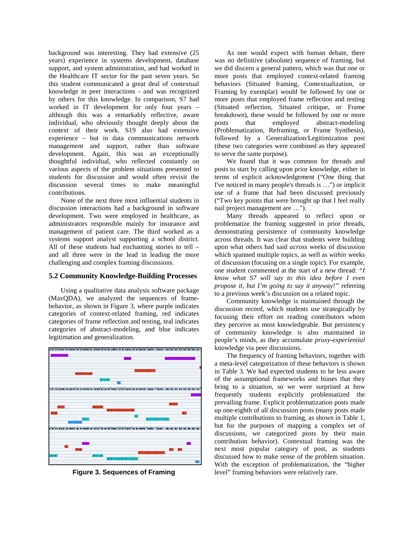background was interesting. They had extensive (25 years) experience in systems development, database support, and system administration, and had worked in the Healthcare IT sector for the past seven years. So this student communicated a great deal of contextual knowledge in peer interactions - and was recognized by others for this knowledge. In comparison, S7 had worked in IT development for only four years – although this was a remarkably reflective, aware individual, who obviously thought deeply about the context of their work. S19 also had extensive experience – but in data communications network management and support, rather than software development. Again, this was an exceptionally thoughtful individual, who reflected constantly on various aspects of the problem situations presented to students for discussion and would often revisit the discussion several times to make meaningful contributions.

None of the next three most influential students in discussion interactions had a background in software development. Two were employed in healthcare, as administrators responsible mainly for insurance and management of patient care. The third worked as a systems support analyst supporting a school district. All of these students had enchanting stories to tell – and all three were in the lead in leading the more challenging and complex framing discussions.

## **5.2 Community Knowledge-Building Processes**

Using a qualitative data analysis software package (MaxQDA), we analyzed the sequences of framebehavior, as shown in Figure 3, where purple indicates categories of context-related framing, red indicates categories of frame reflection and testing, teal indicates categories of abstract-modeling, and blue indicates legitimation and generalization.



**Figure 3. Sequences of Framing**

As one would expect with human debate, there was no definitive (absolute) sequence of framing, but we did discern a general pattern, which was that one or more posts that employed context-related framing behaviors (Situated framing, Contextualization, or Framing by exemplar) would be followed by one or more posts that employed frame reflection and testing (Situated reflection, Situated critique, or Frame breakdown), these would be followed by one or more posts that employed abstract-modeling (Problematization, Reframing, or Frame Synthesis), followed by a Generalization/Legitimization post (these two categories were combined as they appeared to serve the same purpose).

We found that it was common for threads and posts to start by calling upon prior knowledge, either in terms of explicit acknowledgement ("One thing that I've noticed in many people's threads is …") or implicit use of a frame that had been discussed previously ("Two key points that were brought up that I feel really nail project management are …").

Many threads appeared to reflect upon or problematize the framing suggested in prior threads, demonstrating persistence of community knowledge across threads. It was clear that students were building upon what others had said *across* weeks of discussion which spanned multiple topics, as well as *within* weeks of discussion (focusing on a single topic). For example, one student commented at the start of a new thread: *"I know what S7 will say to this idea before I even propose it, but I'm going to say it anyway!"* referring to a previous week's discussion on a related topic.

Community knowledge is maintained through the discussion record, which students use strategically by focusing their effort on reading contributors whom they perceive as most knowledgeable. But persistency of community knowledge is also maintained in people's minds, as they accumulate *proxy*-*experiential* knowledge via peer discussions.

The frequency of framing behaviors, together with a meta-level categorization of these behaviors is shown in Table 3. We had expected students to be less aware of the assumptional frameworks and biases that they bring to a situation, so we were surprised at how frequently students explicitly problematized the prevailing frame. Explicit problematization posts made up one-eighth of all discussion posts (many posts made multiple contributions to framing, as shown in Table 1, but for the purposes of mapping a complex set of discussions, we categorized posts by their main contribution behavior). Contextual framing was the next most popular category of post, as students discussed how to make sense of the problem situation. With the exception of problematization, the "higher level" framing behaviors were relatively rare.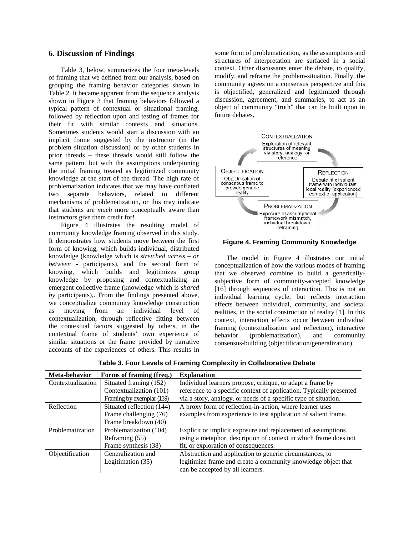## **6. Discussion of Findings**

Table 3, below, summarizes the four meta-levels of framing that we defined from our analysis, based on grouping the framing behavior categories shown in Table 2. It became apparent from the sequence analysis shown in Figure 3 that framing behaviors followed a typical pattern of contextual or situational framing, followed by reflection upon and testing of frames for their fit with similar contexts and situations. Sometimes students would start a discussion with an implicit frame suggested by the instructor (in the problem situation discussion) or by other students in prior threads – these threads would still follow the same pattern, but with the assumptions underpinning the initial framing treated as legitimized community knowledge at the start of the thread. The high rate of problematization indicates that we may have conflated two separate behaviors, related to different mechanisms of problematization, or this may indicate that students are *much* more conceptually aware than instructors give them credit for!

Figure 4 illustrates the resulting model of community knowledge framing observed in this study. It demonstrates how students move between the first form of knowing, which builds individual, distributed knowledge (knowledge which is *stretched across – or between -* participants), and the second form of knowing, which builds and legitimizes group knowledge by proposing and contextualizing an emergent collective frame (knowledge which is *shared by* participants),. From the findings presented above, we conceptualize community knowledge construction as moving from an individual level of contextualization, through reflective fitting between the contextual factors suggested by others, in the contextual frame of students' own experience of similar situations or the frame provided by narrative accounts of the experiences of others. This results in

some form of problematization, as the assumptions and structures of interpretation are surfaced in a social context. Other discussants enter the debate, to qualify, modify, and reframe the problem-situation. Finally, the community agrees on a consensus perspective and this is objectified, generalized and legitimized through discussion, agreement, and summaries, to act as an object of community "truth" that can be built upon in future debates.



**Figure 4. Framing Community Knowledge**

The model in Figure 4 illustrates our initial conceptualization of how the various modes of framing that we observed combine to build a genericallysubjective form of community-accepted knowledge [16] through sequences of interaction. This is not an individual learning cycle, but reflects interaction effects between individual, community, and societal realities, in the social construction of reality [1]. In this context, interaction effects occur between individual framing (contextualization and reflection), interactive behavior (problematization), and community consensus-building (objectification/generalization).

| Meta-behavior     | Forms of framing (freq.)  | <b>Explanation</b>                                                  |
|-------------------|---------------------------|---------------------------------------------------------------------|
| Contextualization | Situated framing (152)    | Individual learners propose, critique, or adapt a frame by          |
|                   | Contextualization (101)   | reference to a specific context of application. Typically presented |
|                   | Framing by exemplar (139) | via a story, analogy, or needs of a specific type of situation.     |
| Reflection        | Situated reflection (144) | A proxy form of reflection-in-action, where learner uses            |
|                   | Frame challenging (76)    | examples from experience to test application of salient frame.      |
|                   | Frame breakdown (40)      |                                                                     |
| Problematization  | Problematization (104)    | Explicit or implicit exposure and replacement of assumptions        |
|                   | Reframing (55)            | using a metaphor, description of context in which frame does not    |
|                   | Frame synthesis (38)      | fit, or exploration of consequences.                                |
| Objectification   | Generalization and        | Abstraction and application to generic circumstances, to            |
|                   | Legitimation (35)         | legitimize frame and create a community knowledge object that       |
|                   |                           | can be accepted by all learners.                                    |

**Table 3. Four Levels of Framing Complexity in Collaborative Debate**